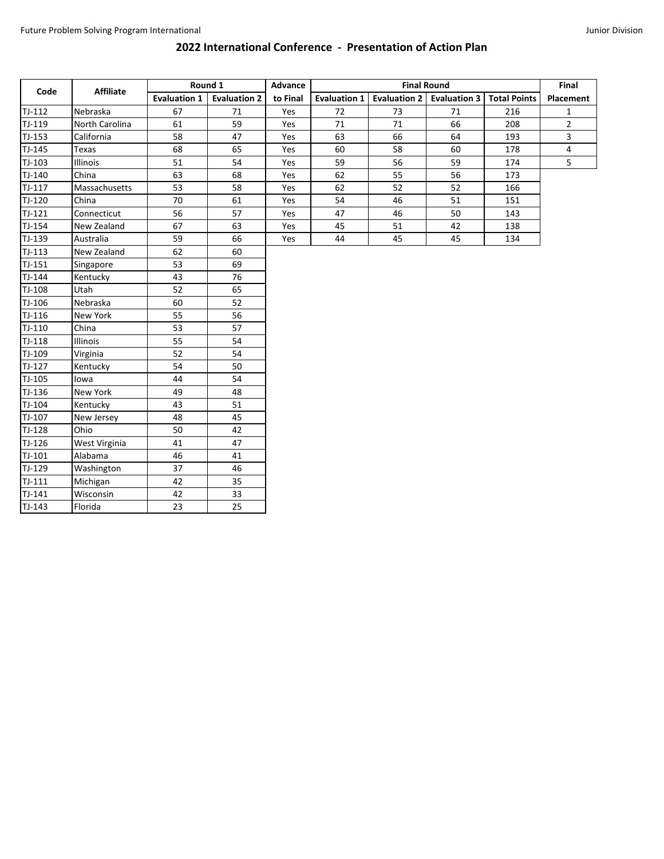## **2022 International Conference - Presentation of Action Plan**

| Code     | <b>Affiliate</b> | Round 1             |                     | Advance  |                     | Final               |                     |                     |              |
|----------|------------------|---------------------|---------------------|----------|---------------------|---------------------|---------------------|---------------------|--------------|
|          |                  | <b>Evaluation 1</b> | <b>Evaluation 2</b> | to Final | <b>Evaluation 1</b> | <b>Evaluation 2</b> | <b>Evaluation 3</b> | <b>Total Points</b> | Placement    |
| $TJ-112$ | Nebraska         | 67                  | 71                  | Yes      | 72                  | 73                  | 71                  | 216                 | $\mathbf{1}$ |
| TJ-119   | North Carolina   | 61                  | 59                  | Yes      | 71                  | 71                  | 66                  | 208                 | $\mathbf{2}$ |
| $TJ-153$ | California       | 58                  | 47                  | Yes      | 63                  | 66                  | 64                  | 193                 | 3            |
| TJ-145   | Texas            | 68                  | 65                  | Yes      | 60                  | 58                  | 60                  | 178                 | 4            |
| TJ-103   | Illinois         | 51                  | 54                  | Yes      | 59                  | 56                  | 59                  | 174                 | 5            |
| TJ-140   | China            | 63                  | 68                  | Yes      | 62                  | 55                  | 56                  | 173                 |              |
| $TJ-117$ | Massachusetts    | 53                  | 58                  | Yes      | 62                  | 52                  | 52                  | 166                 |              |
| TJ-120   | China            | 70                  | 61                  | Yes      | 54                  | 46                  | 51                  | 151                 |              |
| $TJ-121$ | Connecticut      | 56                  | 57                  | Yes      | 47                  | 46                  | 50                  | 143                 |              |
| TJ-154   | New Zealand      | 67                  | 63                  | Yes      | 45                  | 51                  | 42                  | 138                 |              |
| TJ-139   | Australia        | 59                  | 66                  | Yes      | 44                  | 45                  | 45                  | 134                 |              |
| $TJ-113$ | New Zealand      | 62                  | 60                  |          |                     |                     |                     |                     |              |
| $TJ-151$ | Singapore        | 53                  | 69                  |          |                     |                     |                     |                     |              |
| TJ-144   | Kentucky         | 43                  | 76                  |          |                     |                     |                     |                     |              |
| TJ-108   | Utah             | 52                  | 65                  |          |                     |                     |                     |                     |              |
| TJ-106   | Nebraska         | 60                  | 52                  |          |                     |                     |                     |                     |              |
| $TJ-116$ | New York         | 55                  | 56                  |          |                     |                     |                     |                     |              |
| $TJ-110$ | China            | 53                  | 57                  |          |                     |                     |                     |                     |              |
| $TJ-118$ | Illinois         | 55                  | 54                  |          |                     |                     |                     |                     |              |
| TJ-109   | Virginia         | 52                  | 54                  |          |                     |                     |                     |                     |              |
| TJ-127   | Kentucky         | 54                  | 50                  |          |                     |                     |                     |                     |              |
| TJ-105   | lowa             | 44                  | 54                  |          |                     |                     |                     |                     |              |
| TJ-136   | New York         | 49                  | 48                  |          |                     |                     |                     |                     |              |
| TJ-104   | Kentucky         | 43                  | 51                  |          |                     |                     |                     |                     |              |
| TJ-107   | New Jersey       | 48                  | 45                  |          |                     |                     |                     |                     |              |
| TJ-128   | Ohio             | 50                  | 42                  |          |                     |                     |                     |                     |              |
| TJ-126   | West Virginia    | 41                  | 47                  |          |                     |                     |                     |                     |              |
| $TJ-101$ | Alabama          | 46                  | 41                  |          |                     |                     |                     |                     |              |
| TJ-129   | Washington       | 37                  | 46                  |          |                     |                     |                     |                     |              |
| $TJ-111$ | Michigan         | 42                  | 35                  |          |                     |                     |                     |                     |              |
| TJ-141   | Wisconsin        | 42                  | 33                  |          |                     |                     |                     |                     |              |
| $TJ-143$ | Florida          | 23                  | 25                  |          |                     |                     |                     |                     |              |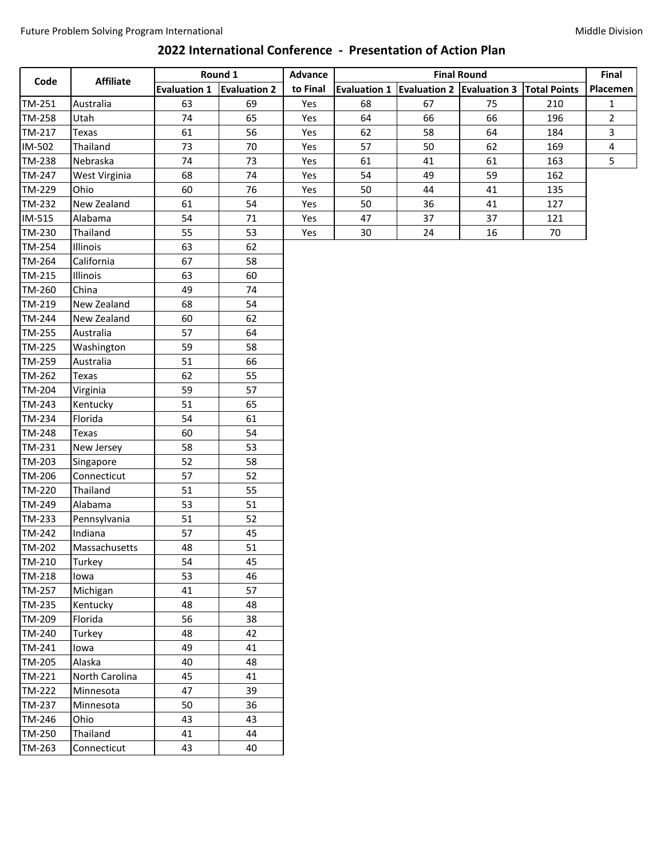## **2022 International Conference - Presentation of Action Plan**

|        |                  | Round 1             |                     | <b>Advance</b> |                     | Final                     |                    |                     |                |
|--------|------------------|---------------------|---------------------|----------------|---------------------|---------------------------|--------------------|---------------------|----------------|
| Code   | <b>Affiliate</b> | <b>Evaluation 1</b> | <b>Evaluation 2</b> | to Final       | <b>Evaluation 1</b> | Evaluation 2 Evaluation 3 | <b>Final Round</b> | <b>Total Points</b> | Placemen       |
| TM-251 | Australia        | 63                  | 69                  | Yes            | 68                  | 67                        | 75                 | 210                 | 1              |
| TM-258 | Utah             | 74                  | 65                  | Yes            | 64                  | 66                        | 66                 | 196                 | $\overline{2}$ |
| TM-217 | Texas            | 61                  | 56                  | Yes            | 62                  | 58                        | 64                 | 184                 | 3              |
| IM-502 | Thailand         | 73                  | 70                  | Yes            | 57                  | 50                        | 62                 | 169                 | 4              |
| TM-238 | Nebraska         | 74                  | 73                  | Yes            | 61                  | 41                        | 61                 | 163                 | 5              |
| TM-247 | West Virginia    | 68                  | 74                  | Yes            | 54                  | 49                        | 59                 | 162                 |                |
| TM-229 | Ohio             | 60                  | 76                  | Yes            | 50                  | 44                        | 41                 | 135                 |                |
| TM-232 | New Zealand      | 61                  | 54                  | Yes            | 50                  | 36                        | 41                 | 127                 |                |
| IM-515 | Alabama          | 54                  | $71\,$              | Yes            | 47                  | 37                        | 37                 | 121                 |                |
| TM-230 | Thailand         | 55                  | 53                  | Yes            | 30                  | 24                        | 16                 | 70                  |                |
| TM-254 | Illinois         | 63                  | 62                  |                |                     |                           |                    |                     |                |
| TM-264 | California       | 67                  | 58                  |                |                     |                           |                    |                     |                |
| TM-215 | Illinois         | 63                  | 60                  |                |                     |                           |                    |                     |                |
| TM-260 | China            | 49                  | 74                  |                |                     |                           |                    |                     |                |
| TM-219 | New Zealand      | 68                  | 54                  |                |                     |                           |                    |                     |                |
| TM-244 | New Zealand      | 60                  | 62                  |                |                     |                           |                    |                     |                |
| TM-255 | Australia        | 57                  | 64                  |                |                     |                           |                    |                     |                |
| TM-225 | Washington       | 59                  | 58                  |                |                     |                           |                    |                     |                |
| TM-259 | Australia        | 51                  | 66                  |                |                     |                           |                    |                     |                |
| TM-262 | Texas            | 62                  | 55                  |                |                     |                           |                    |                     |                |
| TM-204 | Virginia         | 59                  | 57                  |                |                     |                           |                    |                     |                |
| TM-243 | Kentucky         | 51                  | 65                  |                |                     |                           |                    |                     |                |
| TM-234 | Florida          | 54                  | 61                  |                |                     |                           |                    |                     |                |
| TM-248 | Texas            | 60                  | 54                  |                |                     |                           |                    |                     |                |
| TM-231 | New Jersey       | 58                  | 53                  |                |                     |                           |                    |                     |                |
| TM-203 | Singapore        | 52                  | 58                  |                |                     |                           |                    |                     |                |
| TM-206 | Connecticut      | 57                  | 52                  |                |                     |                           |                    |                     |                |
| TM-220 | Thailand         | 51                  | 55                  |                |                     |                           |                    |                     |                |
| TM-249 | Alabama          | 53                  | 51                  |                |                     |                           |                    |                     |                |
| TM-233 | Pennsylvania     | 51                  | 52                  |                |                     |                           |                    |                     |                |
| TM-242 | Indiana          | 57                  | 45                  |                |                     |                           |                    |                     |                |
| TM-202 | Massachusetts    | 48                  | 51                  |                |                     |                           |                    |                     |                |
| TM-210 | Turkey           | 54                  | 45                  |                |                     |                           |                    |                     |                |
| TM-218 | lowa             | 53                  | 46                  |                |                     |                           |                    |                     |                |
| TM-257 | Michigan         | 41                  | 57                  |                |                     |                           |                    |                     |                |
| TM-235 | Kentucky         | 48                  | 48                  |                |                     |                           |                    |                     |                |
| TM-209 | Florida          | 56                  | 38                  |                |                     |                           |                    |                     |                |
| TM-240 | Turkey           | 48                  | 42                  |                |                     |                           |                    |                     |                |
| TM-241 | lowa             | 49                  | 41                  |                |                     |                           |                    |                     |                |
| TM-205 | Alaska           | 40                  | 48                  |                |                     |                           |                    |                     |                |
| TM-221 | North Carolina   | 45                  | 41                  |                |                     |                           |                    |                     |                |
| TM-222 | Minnesota        | 47                  | 39                  |                |                     |                           |                    |                     |                |
| TM-237 | Minnesota        | 50                  | 36                  |                |                     |                           |                    |                     |                |
| TM-246 | Ohio             | 43                  | 43                  |                |                     |                           |                    |                     |                |
| TM-250 | Thailand         | 41                  | 44                  |                |                     |                           |                    |                     |                |
| TM-263 | Connecticut      | 43                  | 40                  |                |                     |                           |                    |                     |                |